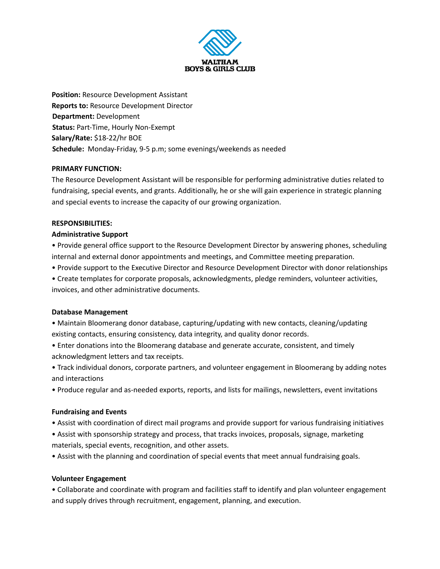

**Position:** Resource Development Assistant **Reports to:** Resource Development Director **Department:** Development **Status:** Part-Time, Hourly Non-Exempt **Salary/Rate:** \$18-22/hr BOE **Schedule:** Monday-Friday, 9-5 p.m; some evenings/weekends as needed

#### **PRIMARY FUNCTION:**

The Resource Development Assistant will be responsible for performing administrative duties related to fundraising, special events, and grants. Additionally, he or she will gain experience in strategic planning and special events to increase the capacity of our growing organization.

#### **RESPONSIBILITIES:**

#### **Administrative Support**

• Provide general office support to the Resource Development Director by answering phones, scheduling internal and external donor appointments and meetings, and Committee meeting preparation.

- Provide support to the Executive Director and Resource Development Director with donor relationships
- Create templates for corporate proposals, acknowledgments, pledge reminders, volunteer activities, invoices, and other administrative documents.

# **Database Management**

- Maintain Bloomerang donor database, capturing/updating with new contacts, cleaning/updating existing contacts, ensuring consistency, data integrity, and quality donor records.
- Enter donations into the Bloomerang database and generate accurate, consistent, and timely acknowledgment letters and tax receipts.
- Track individual donors, corporate partners, and volunteer engagement in Bloomerang by adding notes and interactions
- Produce regular and as-needed exports, reports, and lists for mailings, newsletters, event invitations

# **Fundraising and Events**

- Assist with coordination of direct mail programs and provide support for various fundraising initiatives
- Assist with sponsorship strategy and process, that tracks invoices, proposals, signage, marketing materials, special events, recognition, and other assets.
- Assist with the planning and coordination of special events that meet annual fundraising goals.

# **Volunteer Engagement**

• Collaborate and coordinate with program and facilities staff to identify and plan volunteer engagement and supply drives through recruitment, engagement, planning, and execution.